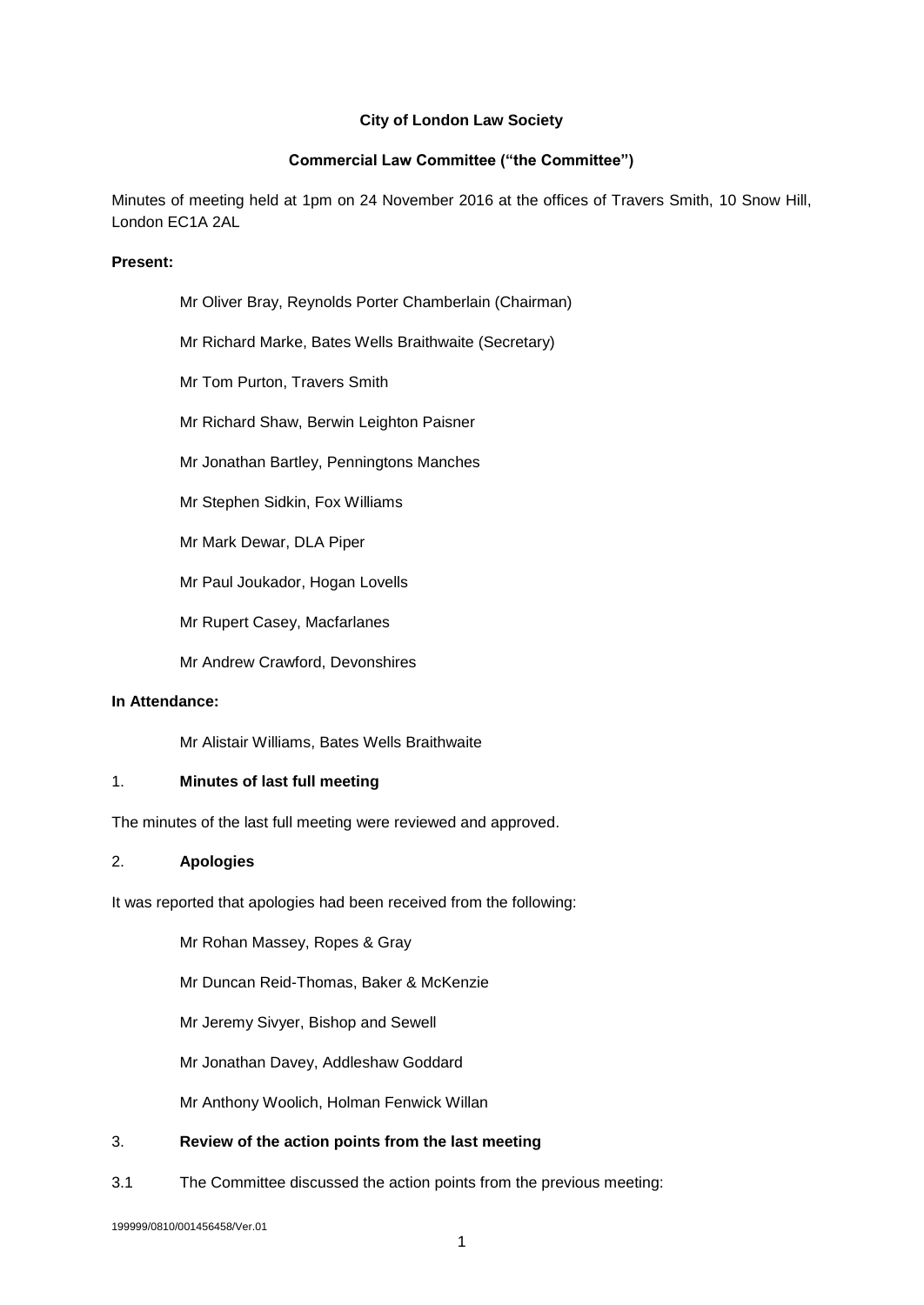## **City of London Law Society**

## **Commercial Law Committee ("the Committee")**

Minutes of meeting held at 1pm on 24 November 2016 at the offices of Travers Smith, 10 Snow Hill, London EC1A 2AL

#### **Present:**

| Mr Oliver Bray, Reynolds Porter Chamberlain (Chairman) |
|--------------------------------------------------------|
|--------------------------------------------------------|

- Mr Richard Marke, Bates Wells Braithwaite (Secretary)
- Mr Tom Purton, Travers Smith
- Mr Richard Shaw, Berwin Leighton Paisner
- Mr Jonathan Bartley, Penningtons Manches
- Mr Stephen Sidkin, Fox Williams
- Mr Mark Dewar, DLA Piper
- Mr Paul Joukador, Hogan Lovells
- Mr Rupert Casey, Macfarlanes
- Mr Andrew Crawford, Devonshires

## **In Attendance:**

Mr Alistair Williams, Bates Wells Braithwaite

#### 1. **Minutes of last full meeting**

The minutes of the last full meeting were reviewed and approved.

#### 2. **Apologies**

It was reported that apologies had been received from the following:

Mr Rohan Massey, Ropes & Gray

Mr Duncan Reid-Thomas, Baker & McKenzie

Mr Jeremy Sivyer, Bishop and Sewell

Mr Jonathan Davey, Addleshaw Goddard

Mr Anthony Woolich, Holman Fenwick Willan

#### 3. **Review of the action points from the last meeting**

3.1 The Committee discussed the action points from the previous meeting:

199999/0810/001456458/Ver.01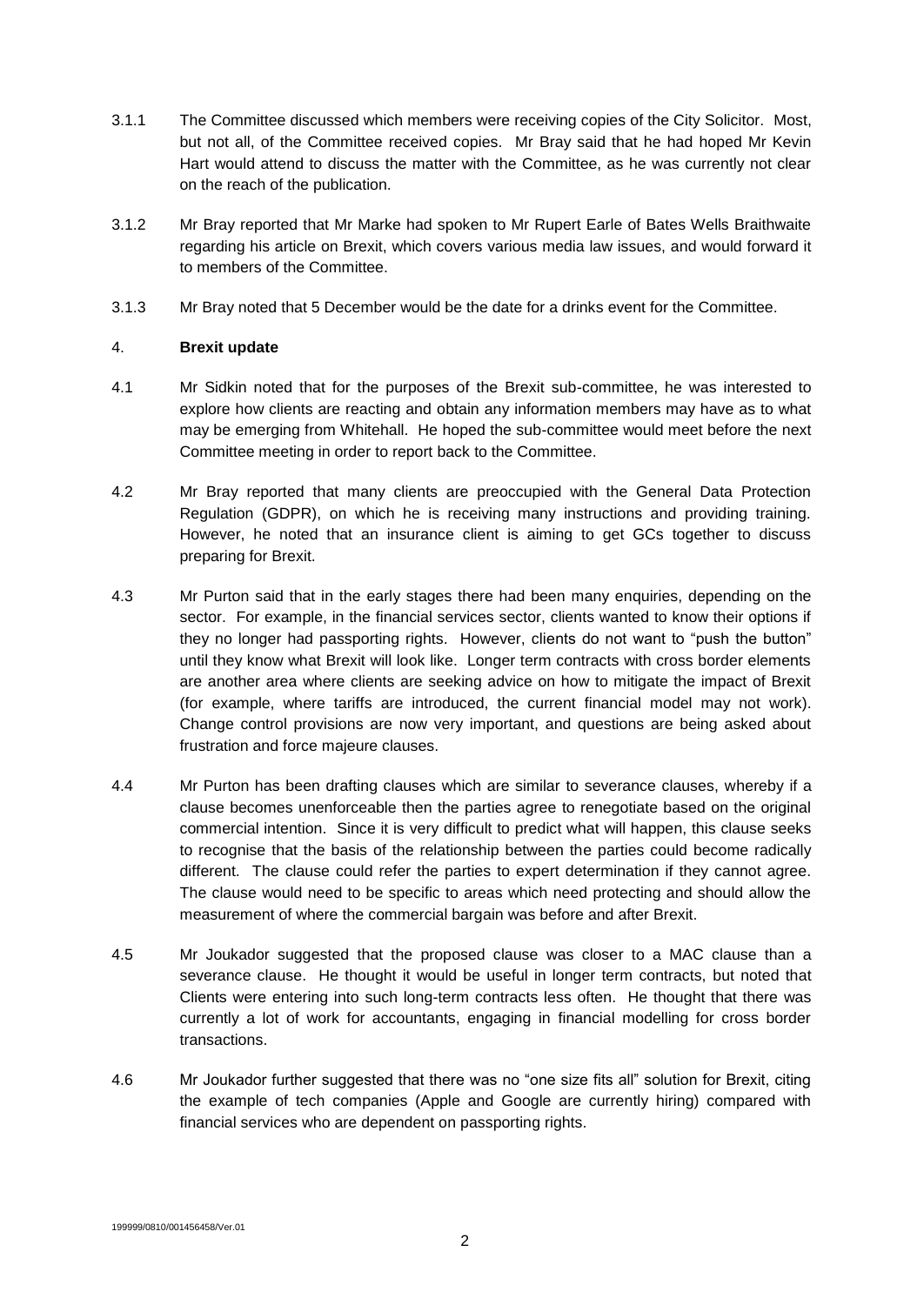- 3.1.1 The Committee discussed which members were receiving copies of the City Solicitor. Most, but not all, of the Committee received copies. Mr Bray said that he had hoped Mr Kevin Hart would attend to discuss the matter with the Committee, as he was currently not clear on the reach of the publication.
- 3.1.2 Mr Bray reported that Mr Marke had spoken to Mr Rupert Earle of Bates Wells Braithwaite regarding his article on Brexit, which covers various media law issues, and would forward it to members of the Committee.
- 3.1.3 Mr Bray noted that 5 December would be the date for a drinks event for the Committee.

# 4. **Brexit update**

- 4.1 Mr Sidkin noted that for the purposes of the Brexit sub-committee, he was interested to explore how clients are reacting and obtain any information members may have as to what may be emerging from Whitehall. He hoped the sub-committee would meet before the next Committee meeting in order to report back to the Committee.
- 4.2 Mr Bray reported that many clients are preoccupied with the General Data Protection Regulation (GDPR), on which he is receiving many instructions and providing training. However, he noted that an insurance client is aiming to get GCs together to discuss preparing for Brexit.
- 4.3 Mr Purton said that in the early stages there had been many enquiries, depending on the sector. For example, in the financial services sector, clients wanted to know their options if they no longer had passporting rights. However, clients do not want to "push the button" until they know what Brexit will look like. Longer term contracts with cross border elements are another area where clients are seeking advice on how to mitigate the impact of Brexit (for example, where tariffs are introduced, the current financial model may not work). Change control provisions are now very important, and questions are being asked about frustration and force majeure clauses.
- 4.4 Mr Purton has been drafting clauses which are similar to severance clauses, whereby if a clause becomes unenforceable then the parties agree to renegotiate based on the original commercial intention. Since it is very difficult to predict what will happen, this clause seeks to recognise that the basis of the relationship between the parties could become radically different. The clause could refer the parties to expert determination if they cannot agree. The clause would need to be specific to areas which need protecting and should allow the measurement of where the commercial bargain was before and after Brexit.
- 4.5 Mr Joukador suggested that the proposed clause was closer to a MAC clause than a severance clause. He thought it would be useful in longer term contracts, but noted that Clients were entering into such long-term contracts less often. He thought that there was currently a lot of work for accountants, engaging in financial modelling for cross border transactions.
- 4.6 Mr Joukador further suggested that there was no "one size fits all" solution for Brexit, citing the example of tech companies (Apple and Google are currently hiring) compared with financial services who are dependent on passporting rights.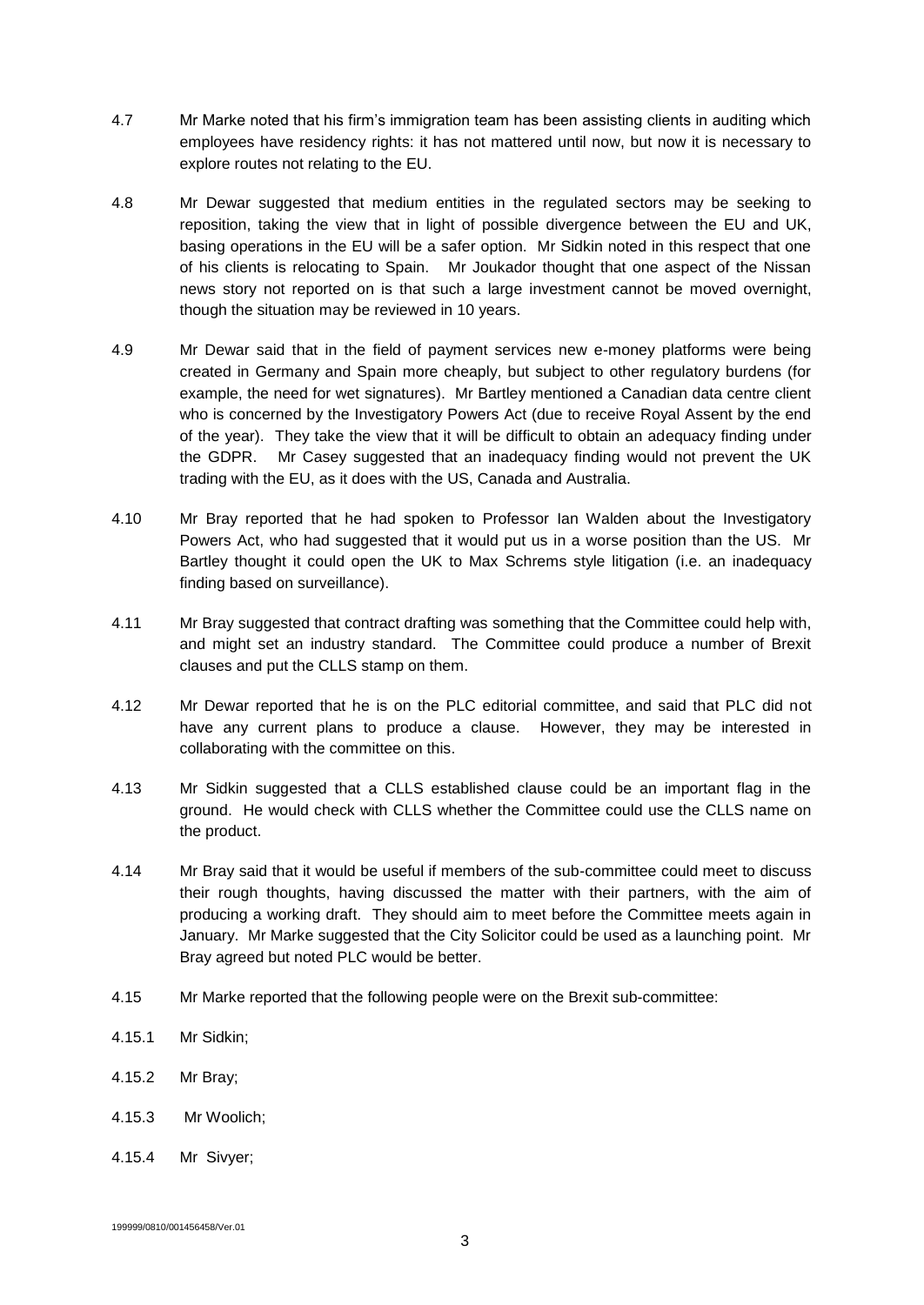- 4.7 Mr Marke noted that his firm's immigration team has been assisting clients in auditing which employees have residency rights: it has not mattered until now, but now it is necessary to explore routes not relating to the EU.
- 4.8 Mr Dewar suggested that medium entities in the regulated sectors may be seeking to reposition, taking the view that in light of possible divergence between the EU and UK, basing operations in the EU will be a safer option. Mr Sidkin noted in this respect that one of his clients is relocating to Spain. Mr Joukador thought that one aspect of the Nissan news story not reported on is that such a large investment cannot be moved overnight, though the situation may be reviewed in 10 years.
- 4.9 Mr Dewar said that in the field of payment services new e-money platforms were being created in Germany and Spain more cheaply, but subject to other regulatory burdens (for example, the need for wet signatures). Mr Bartley mentioned a Canadian data centre client who is concerned by the Investigatory Powers Act (due to receive Royal Assent by the end of the year). They take the view that it will be difficult to obtain an adequacy finding under the GDPR. Mr Casey suggested that an inadequacy finding would not prevent the UK trading with the EU, as it does with the US, Canada and Australia.
- 4.10 Mr Bray reported that he had spoken to Professor Ian Walden about the Investigatory Powers Act, who had suggested that it would put us in a worse position than the US. Mr Bartley thought it could open the UK to Max Schrems style litigation (i.e. an inadequacy finding based on surveillance).
- 4.11 Mr Bray suggested that contract drafting was something that the Committee could help with, and might set an industry standard. The Committee could produce a number of Brexit clauses and put the CLLS stamp on them.
- 4.12 Mr Dewar reported that he is on the PLC editorial committee, and said that PLC did not have any current plans to produce a clause. However, they may be interested in collaborating with the committee on this.
- 4.13 Mr Sidkin suggested that a CLLS established clause could be an important flag in the ground. He would check with CLLS whether the Committee could use the CLLS name on the product.
- 4.14 Mr Bray said that it would be useful if members of the sub-committee could meet to discuss their rough thoughts, having discussed the matter with their partners, with the aim of producing a working draft. They should aim to meet before the Committee meets again in January. Mr Marke suggested that the City Solicitor could be used as a launching point. Mr Bray agreed but noted PLC would be better.
- 4.15 Mr Marke reported that the following people were on the Brexit sub-committee:
- 4.15.1 Mr Sidkin;
- 4.15.2 Mr Bray;
- 4.15.3 Mr Woolich;
- 4.15.4 Mr Sivyer;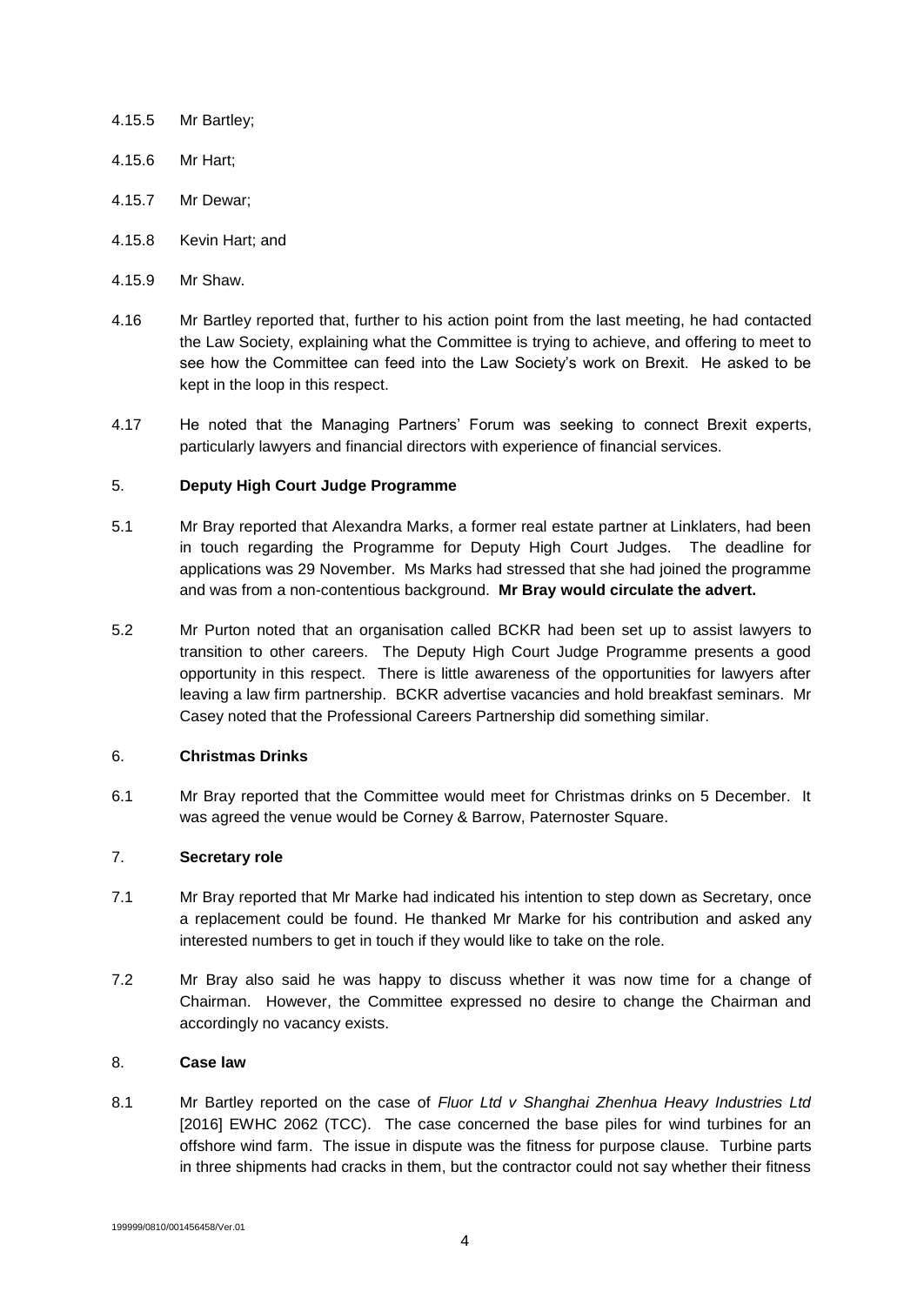- 4.15.5 Mr Bartley;
- 4.15.6 Mr Hart;
- 4.15.7 Mr Dewar;
- 4.15.8 Kevin Hart; and
- 4.15.9 Mr Shaw.
- 4.16 Mr Bartley reported that, further to his action point from the last meeting, he had contacted the Law Society, explaining what the Committee is trying to achieve, and offering to meet to see how the Committee can feed into the Law Society's work on Brexit. He asked to be kept in the loop in this respect.
- 4.17 He noted that the Managing Partners' Forum was seeking to connect Brexit experts, particularly lawyers and financial directors with experience of financial services.

## 5. **Deputy High Court Judge Programme**

- 5.1 Mr Bray reported that Alexandra Marks, a former real estate partner at Linklaters, had been in touch regarding the Programme for Deputy High Court Judges. The deadline for applications was 29 November. Ms Marks had stressed that she had joined the programme and was from a non-contentious background. **Mr Bray would circulate the advert.**
- 5.2 Mr Purton noted that an organisation called BCKR had been set up to assist lawyers to transition to other careers. The Deputy High Court Judge Programme presents a good opportunity in this respect. There is little awareness of the opportunities for lawyers after leaving a law firm partnership. BCKR advertise vacancies and hold breakfast seminars. Mr Casey noted that the Professional Careers Partnership did something similar.

## 6. **Christmas Drinks**

6.1 Mr Bray reported that the Committee would meet for Christmas drinks on 5 December. It was agreed the venue would be Corney & Barrow, Paternoster Square.

#### 7. **Secretary role**

- 7.1 Mr Bray reported that Mr Marke had indicated his intention to step down as Secretary, once a replacement could be found. He thanked Mr Marke for his contribution and asked any interested numbers to get in touch if they would like to take on the role.
- 7.2 Mr Bray also said he was happy to discuss whether it was now time for a change of Chairman. However, the Committee expressed no desire to change the Chairman and accordingly no vacancy exists.

## 8. **Case law**

8.1 Mr Bartley reported on the case of *Fluor Ltd v Shanghai Zhenhua Heavy Industries Ltd* [2016] EWHC 2062 (TCC). The case concerned the base piles for wind turbines for an offshore wind farm. The issue in dispute was the fitness for purpose clause. Turbine parts in three shipments had cracks in them, but the contractor could not say whether their fitness